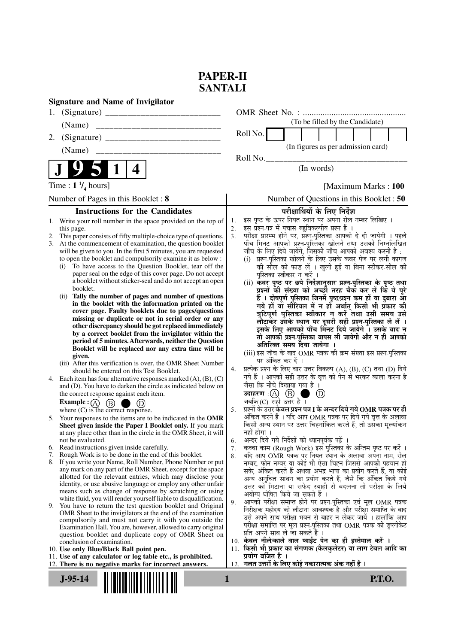## **PAPER-II SANTALI**

| <b>Signature and Name of Invigilator</b>                                                                                                                                                                                                                                                                                                                                                                                                                                                                                                                                                                                                                                                                                                                                                                                                                                                                                                                                                                                                                                                                                                                                                                                                                                                                                                                                                                                                                                                                                                                                                                                                                                                                                                                                                                                                                                                                                                                                                                                                                                                                                                                                                                                                                                                                                                                                                                                                                                                                                                    |                                                                                                                                                                                                                                                                                                                                                                                                                                                                                                                                                                                                                                                                                                                                                                                                                                                                                                                                                                                                                                                                                                                                                                                                                                                                                                                                                                                                                                                                                                                                                                                                                                                                                                                                                                                                                                                                                                                                                                                                                                                                                                                                                                                                                                                                                                                                                                                                                                                   |  |  |  |  |  |  |
|---------------------------------------------------------------------------------------------------------------------------------------------------------------------------------------------------------------------------------------------------------------------------------------------------------------------------------------------------------------------------------------------------------------------------------------------------------------------------------------------------------------------------------------------------------------------------------------------------------------------------------------------------------------------------------------------------------------------------------------------------------------------------------------------------------------------------------------------------------------------------------------------------------------------------------------------------------------------------------------------------------------------------------------------------------------------------------------------------------------------------------------------------------------------------------------------------------------------------------------------------------------------------------------------------------------------------------------------------------------------------------------------------------------------------------------------------------------------------------------------------------------------------------------------------------------------------------------------------------------------------------------------------------------------------------------------------------------------------------------------------------------------------------------------------------------------------------------------------------------------------------------------------------------------------------------------------------------------------------------------------------------------------------------------------------------------------------------------------------------------------------------------------------------------------------------------------------------------------------------------------------------------------------------------------------------------------------------------------------------------------------------------------------------------------------------------------------------------------------------------------------------------------------------------|---------------------------------------------------------------------------------------------------------------------------------------------------------------------------------------------------------------------------------------------------------------------------------------------------------------------------------------------------------------------------------------------------------------------------------------------------------------------------------------------------------------------------------------------------------------------------------------------------------------------------------------------------------------------------------------------------------------------------------------------------------------------------------------------------------------------------------------------------------------------------------------------------------------------------------------------------------------------------------------------------------------------------------------------------------------------------------------------------------------------------------------------------------------------------------------------------------------------------------------------------------------------------------------------------------------------------------------------------------------------------------------------------------------------------------------------------------------------------------------------------------------------------------------------------------------------------------------------------------------------------------------------------------------------------------------------------------------------------------------------------------------------------------------------------------------------------------------------------------------------------------------------------------------------------------------------------------------------------------------------------------------------------------------------------------------------------------------------------------------------------------------------------------------------------------------------------------------------------------------------------------------------------------------------------------------------------------------------------------------------------------------------------------------------------------------------------|--|--|--|--|--|--|
|                                                                                                                                                                                                                                                                                                                                                                                                                                                                                                                                                                                                                                                                                                                                                                                                                                                                                                                                                                                                                                                                                                                                                                                                                                                                                                                                                                                                                                                                                                                                                                                                                                                                                                                                                                                                                                                                                                                                                                                                                                                                                                                                                                                                                                                                                                                                                                                                                                                                                                                                             |                                                                                                                                                                                                                                                                                                                                                                                                                                                                                                                                                                                                                                                                                                                                                                                                                                                                                                                                                                                                                                                                                                                                                                                                                                                                                                                                                                                                                                                                                                                                                                                                                                                                                                                                                                                                                                                                                                                                                                                                                                                                                                                                                                                                                                                                                                                                                                                                                                                   |  |  |  |  |  |  |
| (Name)                                                                                                                                                                                                                                                                                                                                                                                                                                                                                                                                                                                                                                                                                                                                                                                                                                                                                                                                                                                                                                                                                                                                                                                                                                                                                                                                                                                                                                                                                                                                                                                                                                                                                                                                                                                                                                                                                                                                                                                                                                                                                                                                                                                                                                                                                                                                                                                                                                                                                                                                      | (To be filled by the Candidate)                                                                                                                                                                                                                                                                                                                                                                                                                                                                                                                                                                                                                                                                                                                                                                                                                                                                                                                                                                                                                                                                                                                                                                                                                                                                                                                                                                                                                                                                                                                                                                                                                                                                                                                                                                                                                                                                                                                                                                                                                                                                                                                                                                                                                                                                                                                                                                                                                   |  |  |  |  |  |  |
| 2.                                                                                                                                                                                                                                                                                                                                                                                                                                                                                                                                                                                                                                                                                                                                                                                                                                                                                                                                                                                                                                                                                                                                                                                                                                                                                                                                                                                                                                                                                                                                                                                                                                                                                                                                                                                                                                                                                                                                                                                                                                                                                                                                                                                                                                                                                                                                                                                                                                                                                                                                          | Roll No.                                                                                                                                                                                                                                                                                                                                                                                                                                                                                                                                                                                                                                                                                                                                                                                                                                                                                                                                                                                                                                                                                                                                                                                                                                                                                                                                                                                                                                                                                                                                                                                                                                                                                                                                                                                                                                                                                                                                                                                                                                                                                                                                                                                                                                                                                                                                                                                                                                          |  |  |  |  |  |  |
| (Name)                                                                                                                                                                                                                                                                                                                                                                                                                                                                                                                                                                                                                                                                                                                                                                                                                                                                                                                                                                                                                                                                                                                                                                                                                                                                                                                                                                                                                                                                                                                                                                                                                                                                                                                                                                                                                                                                                                                                                                                                                                                                                                                                                                                                                                                                                                                                                                                                                                                                                                                                      | (In figures as per admission card)                                                                                                                                                                                                                                                                                                                                                                                                                                                                                                                                                                                                                                                                                                                                                                                                                                                                                                                                                                                                                                                                                                                                                                                                                                                                                                                                                                                                                                                                                                                                                                                                                                                                                                                                                                                                                                                                                                                                                                                                                                                                                                                                                                                                                                                                                                                                                                                                                |  |  |  |  |  |  |
|                                                                                                                                                                                                                                                                                                                                                                                                                                                                                                                                                                                                                                                                                                                                                                                                                                                                                                                                                                                                                                                                                                                                                                                                                                                                                                                                                                                                                                                                                                                                                                                                                                                                                                                                                                                                                                                                                                                                                                                                                                                                                                                                                                                                                                                                                                                                                                                                                                                                                                                                             | Roll No.                                                                                                                                                                                                                                                                                                                                                                                                                                                                                                                                                                                                                                                                                                                                                                                                                                                                                                                                                                                                                                                                                                                                                                                                                                                                                                                                                                                                                                                                                                                                                                                                                                                                                                                                                                                                                                                                                                                                                                                                                                                                                                                                                                                                                                                                                                                                                                                                                                          |  |  |  |  |  |  |
| $\vert$ 1<br>4                                                                                                                                                                                                                                                                                                                                                                                                                                                                                                                                                                                                                                                                                                                                                                                                                                                                                                                                                                                                                                                                                                                                                                                                                                                                                                                                                                                                                                                                                                                                                                                                                                                                                                                                                                                                                                                                                                                                                                                                                                                                                                                                                                                                                                                                                                                                                                                                                                                                                                                              | (In words)                                                                                                                                                                                                                                                                                                                                                                                                                                                                                                                                                                                                                                                                                                                                                                                                                                                                                                                                                                                                                                                                                                                                                                                                                                                                                                                                                                                                                                                                                                                                                                                                                                                                                                                                                                                                                                                                                                                                                                                                                                                                                                                                                                                                                                                                                                                                                                                                                                        |  |  |  |  |  |  |
| Time : $1 \frac{1}{4}$ hours]                                                                                                                                                                                                                                                                                                                                                                                                                                                                                                                                                                                                                                                                                                                                                                                                                                                                                                                                                                                                                                                                                                                                                                                                                                                                                                                                                                                                                                                                                                                                                                                                                                                                                                                                                                                                                                                                                                                                                                                                                                                                                                                                                                                                                                                                                                                                                                                                                                                                                                               | [Maximum Marks: 100]                                                                                                                                                                                                                                                                                                                                                                                                                                                                                                                                                                                                                                                                                                                                                                                                                                                                                                                                                                                                                                                                                                                                                                                                                                                                                                                                                                                                                                                                                                                                                                                                                                                                                                                                                                                                                                                                                                                                                                                                                                                                                                                                                                                                                                                                                                                                                                                                                              |  |  |  |  |  |  |
| Number of Pages in this Booklet: 8                                                                                                                                                                                                                                                                                                                                                                                                                                                                                                                                                                                                                                                                                                                                                                                                                                                                                                                                                                                                                                                                                                                                                                                                                                                                                                                                                                                                                                                                                                                                                                                                                                                                                                                                                                                                                                                                                                                                                                                                                                                                                                                                                                                                                                                                                                                                                                                                                                                                                                          | Number of Questions in this Booklet : 50                                                                                                                                                                                                                                                                                                                                                                                                                                                                                                                                                                                                                                                                                                                                                                                                                                                                                                                                                                                                                                                                                                                                                                                                                                                                                                                                                                                                                                                                                                                                                                                                                                                                                                                                                                                                                                                                                                                                                                                                                                                                                                                                                                                                                                                                                                                                                                                                          |  |  |  |  |  |  |
|                                                                                                                                                                                                                                                                                                                                                                                                                                                                                                                                                                                                                                                                                                                                                                                                                                                                                                                                                                                                                                                                                                                                                                                                                                                                                                                                                                                                                                                                                                                                                                                                                                                                                                                                                                                                                                                                                                                                                                                                                                                                                                                                                                                                                                                                                                                                                                                                                                                                                                                                             |                                                                                                                                                                                                                                                                                                                                                                                                                                                                                                                                                                                                                                                                                                                                                                                                                                                                                                                                                                                                                                                                                                                                                                                                                                                                                                                                                                                                                                                                                                                                                                                                                                                                                                                                                                                                                                                                                                                                                                                                                                                                                                                                                                                                                                                                                                                                                                                                                                                   |  |  |  |  |  |  |
| <b>Instructions for the Candidates</b><br>Write your roll number in the space provided on the top of<br>1.<br>this page.<br>2. This paper consists of fifty multiple-choice type of questions.<br>3. At the commencement of examination, the question booklet<br>will be given to you. In the first 5 minutes, you are requested<br>to open the booklet and compulsorily examine it as below :<br>To have access to the Question Booklet, tear off the<br>(i)<br>paper seal on the edge of this cover page. Do not accept<br>a booklet without sticker-seal and do not accept an open<br>booklet.<br>(ii) Tally the number of pages and number of questions<br>in the booklet with the information printed on the<br>cover page. Faulty booklets due to pages/questions<br>missing or duplicate or not in serial order or any<br>other discrepancy should be got replaced immediately<br>by a correct booklet from the invigilator within the<br>period of 5 minutes. Afterwards, neither the Question<br>Booklet will be replaced nor any extra time will be<br>given.<br>(iii) After this verification is over, the OMR Sheet Number<br>should be entered on this Test Booklet.<br>4. Each item has four alternative responses marked $(A)$ , $(B)$ , $(C)$<br>and (D). You have to darken the circle as indicated below on<br>the correct response against each item.<br><b>Example:</b> $\overline{A}$ $\overline{B}$ $\overline{B}$<br>(D)<br>where $(C)$ is the correct response.<br>5. Your responses to the items are to be indicated in the OMR<br>Sheet given inside the Paper I Booklet only. If you mark<br>at any place other than in the circle in the OMR Sheet, it will<br>not be evaluated.<br>Read instructions given inside carefully.<br>6.<br>Rough Work is to be done in the end of this booklet.<br>7.<br>8. If you write your Name, Roll Number, Phone Number or put<br>any mark on any part of the OMR Sheet, except for the space<br>allotted for the relevant entries, which may disclose your<br>identity, or use abusive language or employ any other unfair<br>means such as change of response by scratching or using<br>white fluid, you will render yourself liable to disqualification.<br>9. You have to return the test question booklet and Original<br>OMR Sheet to the invigilators at the end of the examination<br>compulsorily and must not carry it with you outside the<br>Examination Hall. You are, however, allowed to carry original<br>question booklet and duplicate copy of OMR Sheet on | परीक्षार्थियों के लिए निर्देश<br>इस पृष्ठ के ऊपर नियत स्थान पर अपना रोल नम्बर लिखिए ।<br>1.<br>इस प्रश्न-पत्र में पचास बहुविकल्पीय प्रश्न हैं ।<br>2.<br>परीक्षा प्रारम्भ होने पर, प्रश्न-पुस्तिका आपको दे दी जायेगी । पहले<br>3.<br>पाँच मिनट आपको प्रश्न-पुस्तिका खोलने तथा उसकी निम्नलिखित<br>जाँच के लिए दिये जायेंगे, जिसकी जाँच आपको अवश्य करनी है :<br>प्रश्न-पुस्तिका खोलने के लिए उसके कवर पेज पर लगी कागज<br>(i)<br>की सील को फाड़ लें । खुली हुई या बिना स्टीकर-सील की<br>पुस्तिका स्वीकार न करें ।<br>(ii) कवर पृष्ठ पर छपे निर्देशानुसार प्रश्न-पुस्तिका के पृष्ठ तथा<br>प्रश्नों की संख्या को अच्छी तरह चैक कर लें कि ये पूरे<br>हैं । दोषपूर्ण पुस्तिका जिनमें पृष्ठ/प्रश्न कम हों या दुबारा आँ<br>गये हों या सीरियल में न हों अर्थात् किसी भी प्रकार की<br>त्रुटिपूर्ण पुस्तिका स्वीकार न करें तथा उसी समय उसे<br>लौटाकर उसके स्थान पर दूसरी सही प्रश्न-पुस्तिका ले लें ।<br>इसके लिए आपको पाँच मिनट दिये जायेंगे । उसके बाद न<br>तो आपकी प्रश्न-पुस्तिका वापस ली जायेगी और न ही आपको<br>अतिरिक्त समय दिया जायेगा ।<br>(iii) इस जाँच के बाद OMR पत्रक की क्रम संख्या इस प्रश्न-पुस्तिका<br>पर अंकित कर दें ।<br>प्रत्येक प्रश्न के लिए चार उत्तर विकल्प (A), (B), (C) तथा (D) दिये<br>4.<br>गये हैं । आपको सही उत्तर के वृत्त को पेन से भरकर काला करना है<br>जैसा कि नीचे दिखाया गया है ।<br>उदाहरण : (A) (B) ।<br>$^{\circ}$<br>a a s<br>जबकि (C) सही उत्तर है $\overline{1}$<br>प्रश्नों के उत्तर <b>केवल प्रश्न पत्र I के अन्दर दिये गये OMR पत्रक पर ही</b><br>5.<br>अंकित करने हैं । यदि आप OMR पत्रक पर दिये गये वृत्त के अलावा<br>किसी अन्य स्थान पर उत्तर चिह्नांकित करते हैं, तो उसँका मूल्यांकन<br>नहीं होगा ।<br>अन्दर दिये गये निर्देशों को ध्यानपूर्वक पढ़ें ।<br>6.<br>कच्चा काम (Rough Work) इस पुस्तिका के अन्तिम पृष्ठ पर करें ।<br>7.<br>यदि आप OMR पत्रक पर नियत स्थान के अलावा अपना नाम, रोल<br>8.<br>नम्बर, फोन नम्बर या कोई भी ऐसा चिह्न जिससे आपकी पहचान हो<br>सके, अंकित करते हैं अथवा अभद्र भाषा का प्रयोग करते हैं, या कोई<br>अन्य अनुचित साधन का प्रयोग करते हैं, जैसे कि अंकित किये गये<br>उत्तर को मिटाना या सफेद स्याही से बदलना तो परीक्षा के लिये<br>अयोग्य घोषित किये जा सकते हैं ।<br>आपको परीक्षा समाप्त होने पर प्रश्न-पुस्तिका एवं मूल OMR पत्रक<br>9.<br>निरीक्षक महोदय को लौटाना आवश्यक है और परीक्षा समाप्ति के बाद<br>उसे अपने साथ परीक्षा भवन से बाहर न लेकर जायें । हालांकि आप<br>परीक्षा समाप्ति पर मूल प्रश्न-पुस्तिका तथा OMR पत्रक की डुप्लीकेट<br>प्रति अपने साथ ले जा सकते हैं । |  |  |  |  |  |  |
| conclusion of examination.<br>10. Use only Blue/Black Ball point pen.<br>11. Use of any calculator or log table etc., is prohibited.                                                                                                                                                                                                                                                                                                                                                                                                                                                                                                                                                                                                                                                                                                                                                                                                                                                                                                                                                                                                                                                                                                                                                                                                                                                                                                                                                                                                                                                                                                                                                                                                                                                                                                                                                                                                                                                                                                                                                                                                                                                                                                                                                                                                                                                                                                                                                                                                        | 10. केवल नीले/काले बाल प्वाईट पेन का ही इस्तेमाल करें ।<br>किसी भी प्रकार का संगणक (कैलकुलेटर) या लाग टेबल आदि का<br>11.<br>प्रयोग वर्जित है ।                                                                                                                                                                                                                                                                                                                                                                                                                                                                                                                                                                                                                                                                                                                                                                                                                                                                                                                                                                                                                                                                                                                                                                                                                                                                                                                                                                                                                                                                                                                                                                                                                                                                                                                                                                                                                                                                                                                                                                                                                                                                                                                                                                                                                                                                                                    |  |  |  |  |  |  |
| 12. There is no negative marks for incorrect answers.                                                                                                                                                                                                                                                                                                                                                                                                                                                                                                                                                                                                                                                                                                                                                                                                                                                                                                                                                                                                                                                                                                                                                                                                                                                                                                                                                                                                                                                                                                                                                                                                                                                                                                                                                                                                                                                                                                                                                                                                                                                                                                                                                                                                                                                                                                                                                                                                                                                                                       | गलत उत्तरों के लिए कोई नकारात्मक अंक नहीं हैं ।<br>12.                                                                                                                                                                                                                                                                                                                                                                                                                                                                                                                                                                                                                                                                                                                                                                                                                                                                                                                                                                                                                                                                                                                                                                                                                                                                                                                                                                                                                                                                                                                                                                                                                                                                                                                                                                                                                                                                                                                                                                                                                                                                                                                                                                                                                                                                                                                                                                                            |  |  |  |  |  |  |
| <b>P.T.O.</b><br>$J-95-14$<br>1                                                                                                                                                                                                                                                                                                                                                                                                                                                                                                                                                                                                                                                                                                                                                                                                                                                                                                                                                                                                                                                                                                                                                                                                                                                                                                                                                                                                                                                                                                                                                                                                                                                                                                                                                                                                                                                                                                                                                                                                                                                                                                                                                                                                                                                                                                                                                                                                                                                                                                             |                                                                                                                                                                                                                                                                                                                                                                                                                                                                                                                                                                                                                                                                                                                                                                                                                                                                                                                                                                                                                                                                                                                                                                                                                                                                                                                                                                                                                                                                                                                                                                                                                                                                                                                                                                                                                                                                                                                                                                                                                                                                                                                                                                                                                                                                                                                                                                                                                                                   |  |  |  |  |  |  |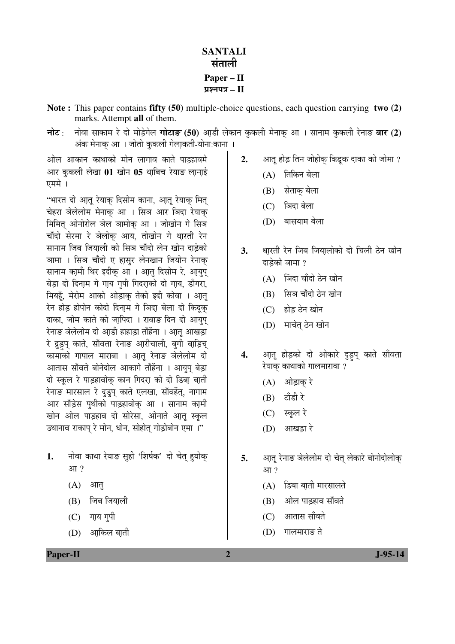## **SANTALI** संताली **Paper – II**  ¯ÖÏ¿®Ö¯Ö¡Ö **– II**

- **Note :** This paper contains **fifty (50)** multiple-choice questions, each question carrying **two (2)** marks. Attempt **all** of them.
- **नोट** : नोवा साकाम रे दो मोड़ेगेल **गोटाङ (50)** आडी लेकान कुकली मेनाक आ । सानाम कुकली रेनाङ **बार (2)** अंक मेनाक आा जोतो कुकली गेला़कती-योना:काना ।

ओल आकान काथाको मोन लागाव काते पाडहावमे आर कुकली लेखा 01 खोन 05 धाबिच रेयाङ लानाई  $\overrightarrow{U}$ 

"भारत दो आतु रेयाक दिसोम काना, आतु रेयाक मित् चेहरा ञेलेलोम मेनाक आ । सिञ आर ञिदा रेयाक मिमित् ओनोरोल ञेल ञामोक् आ । जोखोन गे सिञ चाँदो सेरमा रे ञेलोक आय, तोखोन गे धारती रेन सानाम जिब जियाली को सिञ चाँदो लेन खोन दाड़ेको ञामा । सिञ चाँदो ए हासुर लेनखान जियोन रेनाक् सानाम कामी थिर इदीक आ । आतु दिसोम रे, आयुप बेड़ा दो दिनाम गे गाय गुपी गिदराको दो गाय, डाँगरा, मियहूँ, मेरोम आको ओड़ाक् तेको इदी कोवा । आ़तू रेन होड़ होपोन कोदो दिनाम गे ञिदा बेला दो किदुक दाका, जोम काते को जापिदा । राबाङ दिन दो आयुप रेनाङ ञेलेलोम दो आडी हाहाडा ताँहेंना । आत आखडा रे द्रुइप् काते, साँवता रेनाङ आरीचाली, बगी बाडि़च ँकामाँको गापाल माराबा । आत रेनाङ ञेलेलोम दो आतास साँवते बोनेदोल आकागे ताँहेंना । आयप बेड़ा दो स्कूल रे पाड़हावोक् कान गिदरा़ को दो डिबा़ बा़ती रेनाङ मारसाल रे दुड्र्प काते एलखा, साँवहेंत्, नागाम आर साँड्रेस पृथीको पाड़हावोक आ । सानाम कामी खोन ओल पाड़हाव दो सोरेसा, ओनाते आतु स्कुल उथानाव राकाप रे मोन. धोन. सोहोत गोडोबोन एमा ।''

- 1. नोवा काथा रेयाङ सही 'शिर्षक' दो चेत हयोक आ?
	- $(A)$  आत्
	- $(B)$  जिब जियाली
	- $(C)$  गाय गपी
	- $(D)$  आकिल बाती
- 2. आतू होड़ तिन जोहोक् किंद्रूक दाका को जोमा ?
	- $(A)$  तिकिन बेला
	- (B) सेताक् बेला
	- (C) जिंदा बेला
	- (D) बासयाम बेला
- **3.** धारती रेन जिब जियालोको दो चिली ठेन खोन दाडेको ञामा ?
	- $(A)$  ञिंदा चाँदो ठेन खोन
	- (B) सिञ चाँदो ठेन खोन
	- $(C)$  होड ठेन खोन
	- (D) माचेत ठेन खोन
- **4.** आतू होड़को दो ओकारे दुड़प् काते साँवता रेयाक काथाको गालमारावा ?
	- $(A)$  ओड़ाक रे
	- $(B)$  टाँडी रे
	- $(C)$  स्कूल रे
	- $(D)$  आखड़ा रे
- **5.** आतु रेनाङ ञेलेलोम दो चेत लेकारे बोनोदोलोक आ?
	- $(A)$  डिबा बाती मारसालते
	- (B) ओल पाड़हाव साँवते
	- (C) आतास साँवते
	- $(D)$  गालमाराङ ते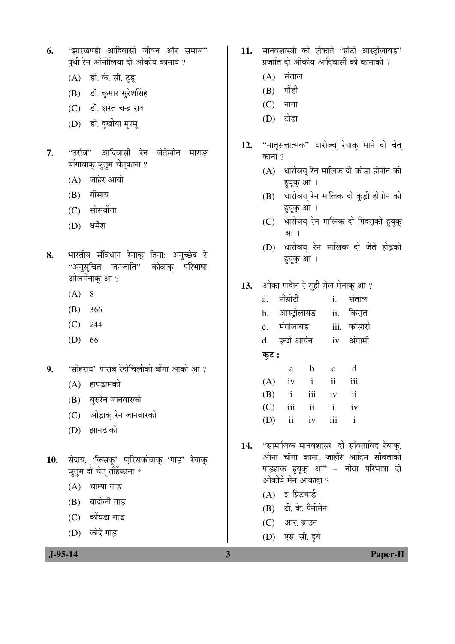- **6.** "झारखण्डी आदिवासी जीवन और समाज" पथी रेन ओनोलिया दो ओकोय कानाय ?
	- (A) डॉ. के. सी. टुडू
	- (B) डॉ. कुमार सुरेशसिंह
	- (C) डॉ. शरत चन्द्र राय
	- (D) डॉ. दुखीया मुरम्
- 7. "उराँव" आदिवासी रेन जेतेखोन माराङ बोंगावाक् ञुतुम चेत्काना ?
	- $(A)$  जाहेर आयो
	- $(B)$  गोंसाय
	- (C) सोसबोंगा
	- $(D)$  धर्मेश
- 8. भारतीय संविधान रेनाक् तिना: अनुच्छेद रे ..<br>"अनुसूचित जनजाति" कोवाक् परिभाषा ओलमेनाक् आ?
	- $(A) 8$
	- (B) 366
	- (C) 244
	- (D) 66
- **9.** 'सोहराय' पाराब रेदोचिलीको बोंगा आको आ?
	- (A) हापड़ामको
	- (B) बुरुरेन जानवारको
	- (C) ओड़ाक् रेन जानवारको
	- (D) झानडाको
- 10. सेदाय, 'किसकू' पारिसकोवाक 'गाड़' रेयाक् ञुतुम दो चेत् ताँहेंकाना ?
	- $(A)$  चाम्पा गाड़
	- (B) बादोली गाड़
	- (C) कोंयडा गाड़
	- $(D)$  कोदे गाड
- 11. मानवशास्त्री को लेकाते "प्रोटो आस्ट्रोलायड" प्रजाति दो ओकोय आदिवासी को कानाको ?
	- $(A)$  संताल
	- $(B)$  गौंडी
	- $(C)$  नागा
	- $(D)$  टोडा
- 12. "मातृसत्तात्मक" घारोञ्च् रेयाक् माने दो चेत् काना $9$ 
	- $(A)$  धारोञय रेन मालिक दो कोड़ा होपोन को हुयूक आ।
	- (B) धारोञय् रेन मालिक दो कुड़ी होपोन को हुयूक् आ।
	- (C) धारोञय् रेन मालिक दो गिदरा़को हुयूक आ।
	- (D) धारोञय् रेन मालिक दो जेते होड़को ह्युक् आ।
- **13.** †ÖêÛúÖ ÝÖÖ¤êü»Ö ¸êü ÃÖãÆüß ´Öê»Ö ´Öê®ÖÖÛËú †Ö ?

| a.             | नीप्रोटी      |                | i.            | संताल               |  |  |
|----------------|---------------|----------------|---------------|---------------------|--|--|
| b.             | आस्ट्रोलायड   |                |               | ii. किरात           |  |  |
| $\mathbf{c}$ . | मंगोलायड      |                |               | iii. काँसारी        |  |  |
| d.             | इन्दो आर्यन   |                |               | iv. अंगामी          |  |  |
| कूट :          |               |                |               |                     |  |  |
|                | a             | b              | $\mathbf c$   | d                   |  |  |
| (A)            | iv            | $\ddot{i}$     | $\mathbf{ii}$ | iii                 |  |  |
| (B)            | $\mathbf{i}$  | iii            | iv            | $\ddot{\mathbf{i}}$ |  |  |
| (C)            | iii           | $\ddot{\rm n}$ | $\mathbf{i}$  | iv                  |  |  |
| (D)            | $\mathbf{ii}$ | iv             | iii           | $\mathbf{i}$        |  |  |

- 14. "सामाजिक मानवशास्त्र दो साँवताविद रेयाक, ओना चाँगा काना, जाहाँरे आदिम साँवताको पाड़हाक हयुक आ" – नोवा परिभाषा दो ओकोये मेन आकादा ?
	- $(A)$  इ. प्रिटचार्ड
	- $(B)$  टी के पैनीमेन
	- (C) आर. ब्राउन
	- (D) एस. सी. दुबे

 **J-95-14 3 Paper-II**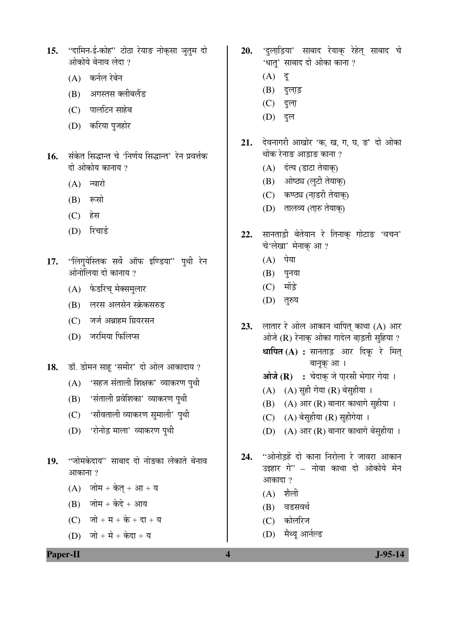- 15. "दामिन-ई-कोह" टोठा रेयाङ नोक्*सा ञुतुम दो* ओकोये बेनाव लेदा ?
	- $(A)$  कर्नल रेबेन
	- (B) अगस्तस क्लीबलैंड
	- (C) पालटिन साहेब
	- (D) करिया पुजहोर
- 16. ĂÖÖ सिद्धान्त चे 'निर्णय सिद्धान्त' रेन प्रवर्त्तक दो ओकोय कानाय $\,$  ?
	- $(A)$  न्वारो
	- $(B)$  रूसो
	- $(C)$  हेस
	- (D) रिचार्ड
- 17. "लिंगुयेस्तिक सर्वे ऑफ इण्डिया" पुथी रेन ओनोलिया दो कानाय ?
	- (A) फेडरिच् मेक्समुलार
	- (B) लरस अलसेन स्क्रेकसरुड
	- (C) जर्ज अब्राहम ग्रियरसन
	- (D) जरमिया फिलिप्स
- **18.** ›üÖò. ›üÖê´Ö®Ö ÃÖÖÆæü 'ÃÖ´Ö߸ü' ¤üÖê †Öê»Ö †ÖÛúÖ¤üÖµÖ ?
	- $(A)$  'सहज संताली शिक्षक' व्याकरण पृथी
	- (B) 'संताली प्रवेशिका' व्याकरण पुथी
	- (C) 'साँवताली व्याकरण सुमाली' पुथी
	- (D) 'रोनोड़ माला' व्याकरण पुथी
- 19. "जोमकेदाय" साबाद दो नोङका लेकाते बेनाव आकाना?
	- $(A)$  जोम + केत् + आ + य
	- $(B)$  जोम + केदे + आय
	- $(C)$  जो + म + के + दा + य
	- (D) जो + मे + केदा + य
- 20. 'दुलाडि़या' साबाद रेयाक् रेहेत् साबाद चे 'धात' साबाद दो ओका काना ?
	- $(A)$  दु
	- $(B)$  दुलाड़
	- (C) दुला़
	- (D) বুল
- 21. देवनागरी आखोर 'क, ख, ग, घ, ङ' दो ओका थोक रेनाङ आडाङ काना ?
	- (A) दंत्य (डाटा तेयाक्)
	- (B) ओष्ठ्य (लूटी तेयाक्)
	- (C) कण्ठ्य (नाडरी तेयाक)
	- (D) तालव्य (ता़रु तेयाक्)
- 22. सानताड़ी बेतेयान रे तिनाक गोटाङ 'वचन' चे'लेखा' मेनाक् आ ?
	- $(A)$  पेया
	- $(B)$  पुनया
	- $(C)$  मोंड़े
	- (D) तुरुय
- 23. लातार रे ओल आकान थापित् काथा (A) आर ओजे  $(R)$  रेनाक् ओका गादेल बाड़ती सुहिया ? **थापित (A) :** सानताड़ आर दिकू रे मित् बानूक् आ।
	- आजे (R) : चेदाक् जे पारसी भेगार गेया ।
	- $(A)$   $(A)$  सुही गेया  $(R)$  बेसुहीया ।
	- $(B)$   $(A)$  आर  $(R)$  बानार काथागे सुहीया ।
	- (C) (A) बेसुहीया (R) सुहीगेया ।
	- $(D)$   $(A)$  आर  $(R)$  बानार काथागे बेसहीया ।
- 24. "ओनोडहें दो काना निरोला रे जावरा आकान उइहार गे" – नोवा काथा दो ओकोये मेन आकादा ?
	- $(A)$  शैली
	- (B) वडसवर्थ
	- (C) कोलरिज
	- (D) मैथ्य आर्नल्ड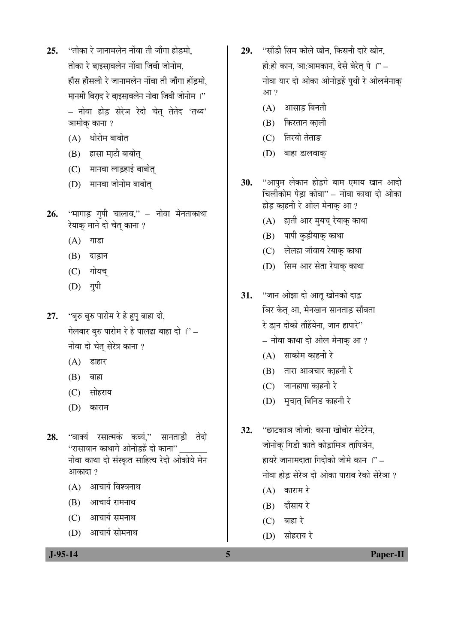- 25. "तोका रे जानामलेन नोंवा ती जाँगा होडमो. तोका रे बाइसावलेन नोंवा जिवी जोनोम. हाँस हाँसली रे जानामलेन नोंवा ती जाँगा होंडमो. <u>मानमी बिराद रे बाइसावलेन नोवा जिवी जोनोम</u>ा" – नोवा होड़ सेरेञ रेदो चेत् तेतेद 'तथ्य' ञामोक काना ?
	- $(A)$  धोरोम बाबोत
	- $(B)$  हासा माटी बाबोत्
	- (C) मानवा लाडुहाई बाबोत्
	- (D) मानवा जोनोम बाबोत्
- **26.** "मागाड गपी चालाव." नोवा मेनताकाथा रेयाक् माने दो चेत् काना ?
	- $(A)$  गाडा
	- $(B)$  दाड़ान
	- $(C)$  गोयच्
	- $(D)$  गृपी
- 27. "बुरु बुरु पारोम रे हे हुपू बाहा दो, गेलबार बरु पारोम रे हे पालढा बाहा दो ।'' $-$ नोवा दो चेत् सेरेत्र काना ?
	- $(A)$  डाहार
	- $(B)$  बाहा
	- (C) सोहराय
	- (D) काराम
- **28.** "वाक्यं रसात्मकं कव्यं." सानताडी तेदो "रासावान काथागे ओनोडहें दो काना" नोवा काथा दो संस्कृत साहित्य रेदो ओकोये मेन आकादा $, 2$ 
	- $(A)$  आचार्य विश्वनाथ
	- $(B)$  आचार्य रामनाथ
	- $(C)$  आचार्य समनाथ
	- (D) आचार्य सोमनाथ
- 29. "साँडी सिम कोले खोन, किसनी दारे खोन, हो:हो कान, ञा:ञामकान, देसे बेरेत् पे ।" – नोवा यार दो ओका ओनोड़हें पथी रे ओलमेनाक  $3\pi$  ?
	- $(A)$  आसाड बिनती
	- (B) किरतान काली
	- (C) तिरयो तेताङ
	- (D) बाहा डालवाक्
- 30. "आपम लेकान होडगे बाम एमाय खान आदो <u>चिलोकोम पेड़ा कोवा'' – नोवा काथा दो ओका</u> होड़ काहनी रे ओल मेनाक आ ?
	- (A) हाती आर मुयच् रेयाक् काथा
	- (B) पापी कुड़ीयाक् काथा
	- (C) लेलहा जॉवाय रेयाक् काथा
	- (D) सिम आर सेता रेयाक् काथा
- 31. "जान ओझा दो आतू खोनको दाड़ ञिर केत् आ, मेनखान सानताड़ साँवता रे डा़न दोको ताँहेंयेना, जान हापारे"
	- $-$  नोवा काथा दो ओल मेनाक् आ ?
	- $(A)$  साकोम काहनी रे
	- $(B)$  तारा आञचार काहनी रे
	- $(C)$  जानहापा काहनी रे
	- (D) मुचा़त् बिनिड काहनी रे
- **32.** "छाटकाञ जोजो: काना खोबोर सेटेरेन, जोनोक् गिडी काते कोड़ामिञ ता़पिञेन, हायरे जानामदाता गिदीको जोमे कान $\mathbb{P}^2$  – नोवा होड सेरेञ दो ओका पाराब रेको सेरेञा ?
	- $(A)$  काराम रे
	- $(B)$  दाँसाय रे
	- $(C)$  बाहा रे
	- $(D)$  सोहराय रे

 **J-95-14 5 Paper-II**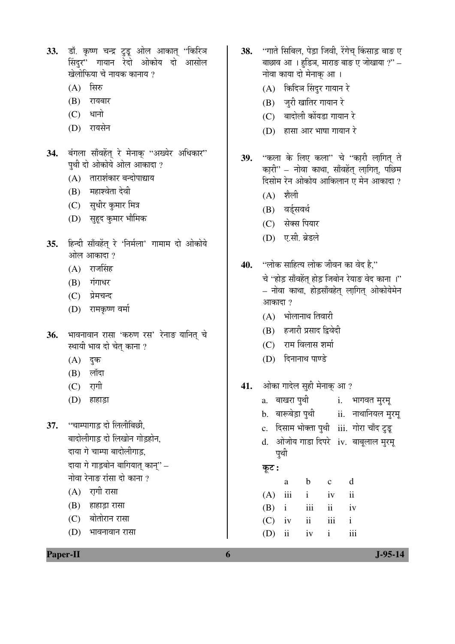- 33. डॉ. कृष्ण चन्द्र टुडू ओल आकात् "किरिञ सिंदुर" गायान रेदो ओकोय दो आसोल <u>खेलोफिया चे नायक कानाय ?</u>
	- $(A)$  सिरु
	- $(B)$  रायबार
	- $(C)$  धानो
	- (D) रायसेन
- 34. बंगला साँवहेंत् रे मेनाक् "अख्येर अधिकार" पथी दो ओकोये ओल आकादा ?
	- $(A)$  ताराशंकार बन्दोपाद्याय
	- $(B)$  महाश्वेता देवी
	- (C) सुधीर कुमार मित्र
	- (D) सुहूद कुमार भौमिक
- 35. हिन्दी साँवहेंत् रे 'निर्मला' गामाम दो ओकोये ओल आकादा ?
	- $(A)$  राजसिंह
	- $(B)$   $\vec{\mathbf{u}}$  $\vec{\mathbf{v}}$
	- (C) प्रेमचन्द
	- (D) रामकृष्ण वर्मा
- 36. भावनावान रासा 'करुण रस' रेनाङ यानित् चे स्थायी भाव दो चेत काना ?
	- $(A)$  दुक
	- $(B)$  लॉदा
	- $(C)$  रागी
	- (D) हाहाड़ा

**37.** "चाम्पागाड़ दो लिलीबिछी, बादोलीगाड दो लिखोन गोडहोन. दाया गे चाम्पा बादोलीगाड. दाया गे गाड़बोन बागियात् कान्" – नोवा रेनाङ रांसा दो काना ?

- $(A)$  रागी रासा
- $(B)$  हाहाड़ा रासा
- (C) बोतोरान रासा
- $(D)$  भावनावान रासा
- 38. "गाते सिबिल, पेड़ा जिवी, रेंगेच किंसाड़ बाङ ए बाछाव आ । हडिञ, माराङ बाङ ए जोखाया  $?$ ' – नोवा काया दो मेनाक् आ।
	- (A) किदिञ सिंदुर गायान रे
	- (B) जुरी खातिर गायान रे
	- (C) बादोली कोंयडा गायान रे
	- $(D)$  हासा आर भाषा गायान रे
- 39. "कला के लिए कला" चे "कारी लागित् ते कारी'' – नोवा काथा, साँवहेंत् लागित्, पछिम दिसोम रेन ओकोय आकिलान ए मेन आकादा ?
	- $(A)$  शैली
	- (B) वर्ड्सवर्थ
	- (C) सेक्स पियार
	- (D) ए.सी. ब्रेडले
- **40.** "लोक साहित्य लोक जीवन का वेद है." चे 'होड़ साँवहेंत होड़ जिबोन रेयाङ वेद काना ।'' – नोवा काथा, होड़साँवहेत् ला़गित् ओकोयेमेन आकादा $, 2$ 
	- $(A)$  भोलानाथ तिवारी
	- (B) हजारी प्रसाद द्विवेदी
	- (C) राम विलास शर्मा
	- (D) दिनानाथ पाण्डे
- 41. ओका गादेल सुही मेनाक् आ ?
	- a. बाखरा पुथी oi. भागवत मुरमू
	- b. बारूबेड़ा पृथी ii. नाथानियल मरम्
	- c. दिसाम भोक्ता पुथी iii. गोरा चाँद टुडू
	- d. ओजोय गाडा दिपरे iv. बाबूलाल मुरमू पूर्थी

कूट :

| a |                   | b c d |  |
|---|-------------------|-------|--|
|   | $(A)$ iii i iv ii |       |  |
|   | $(B)$ i iii ii iv |       |  |
|   | $(C)$ iv ii iii i |       |  |
|   | $(D)$ ii iv i iii |       |  |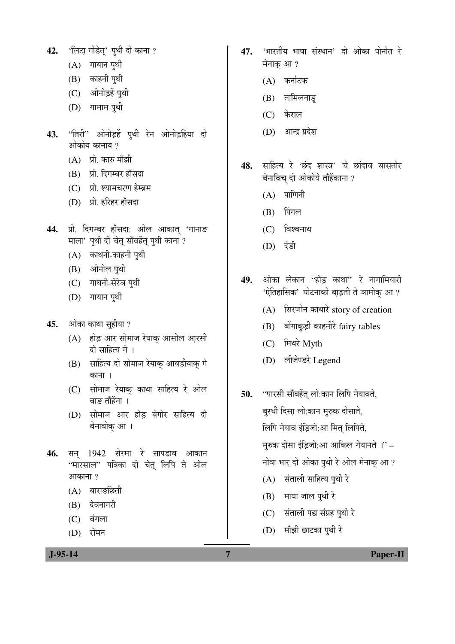- 42. 'लिटा गोडेत' पुथी दो काना ?
	- $(A)$  गायान पूथी
	- (B) काहनी पुथी
	- (C) ओनोड़हें पुथी
	- $(D)$  गामाम पृथी
- 43. "तिरी" ओनोड़हें पुथी रेन ओनोड़हिंया दो ओकोय कानाय ?
	- $(A)$  प्रो. कारु माँझी
	- (B) प्रो. दिगम्बर हाँसदा
	- (C) प्रो. श्यामचरण हेम्ब्रम
	- (D) प्रो. हरिहर हाँसदा
- 44. प्रो. दिगम्बर हाँसदा: ओल आकात् 'गानाङ `माला' पुथी दो चेत् साँवहेंत् पुथी काना ?
	- $(A)$  काथनी-काहनी पुथी
	- (B) ओनोल पुथी
	- (C) गाथनी-सेरेञ पथी
	- $(D)$  गायान पृथी
- **45.** ओका काथा सुहीया ?
	- (A) होड़ आर सोमाज रेयाक आसोल आरसी दो साहित्य गे ।
	- (B) साहित्य दो सोमाज रेयाक् आवड़ीयाक् गे काना ।
	- (C) सोमाज रेयाक काथा साहित्य रे ओल बाङ ताँहेंना ।
	- (D) सोमाज आर होड़ बेगोर साहित्य दो बेनावोक् आ।
- 4**6.** सन 1942 सेरमा रे सापडाव आकान "मारसाल" पत्रिका दो चेत लिपि ते ओल आकाना ?
	- $(A)$  बाराङछिती
	- (B) देवनागरी
	- $(C)$  बंगला
	- (D) रोमन
- **47.** 'भारतीय भाषा संस्थान' दो ओका पोनोत रे मेनाक आ ?
	- (A) कर्नाटक
	- $(B)$  तामिलनाड़
	- (C) केराल
	- $(D)$  आन्द्र प्रदेश
- 48. साहित्य रे 'छंद शास्त्र' चे छांदाव सासतोर बेनाविच दो ओकोये ताँहेंकाना ?
	- $(A)$  पाणिनी
	- $(B)$  पिंगल
	- $(C)$  विश्वनाथ
	- (D) दंडी
- **49.** ओका लेकान "होड काथा" रे नागामियारी 'ऐतिहासिक' घोटनाको बाड़ती ते ञामोक् आ?
	- (A) सिरजोन काथारे story of creation
	- (B) बोंगाकुड़ी काहनीरे fairy tables
	- (C) मिथरे Myth
	- (D) लीजेण्डरे Legend
- **50.** "पारसी साँवहेंत् लो:कान लिपि नेयावते, बुरधी दिसा़ लो:कान मुरुक दोसाते, लिपि नेयाव इंडिजो:आ मित लिपिते, मुरुक दोसा इंडि़जो:आ आकिल गेयानते ।'' – नोवा भार दो ओका पुथी रे ओल मेनाक् आ ? (A) संताली साहित्य पुथी रे  $(B)$  माया जाल पृथी रे
	- (C) संताली पद्य संग्रह पृथी रे
	- $(D)$  माँझी छाटका पुथी रे